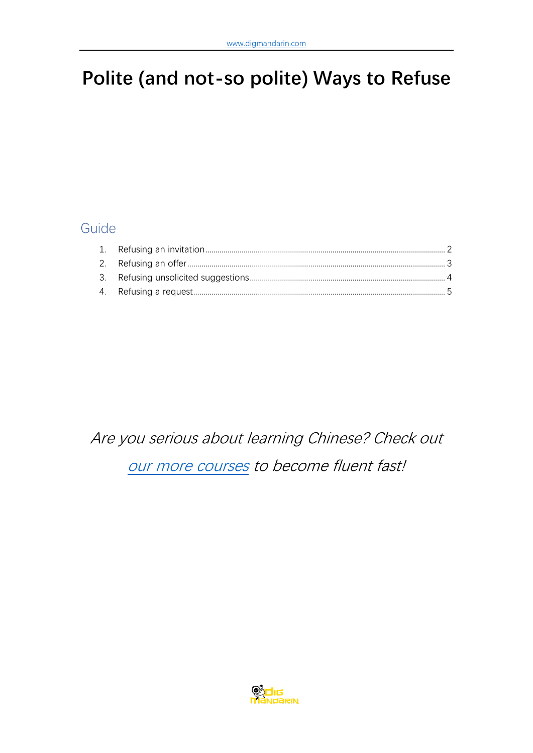# **Polite (and not-so polite) Ways to Refuse**

### Guide

# Are you serious about learning Chinese? Check out

[our more courses](https://www.digmandarin.com/chinese-language-courses?bbc_pdf) to become fluent fast!

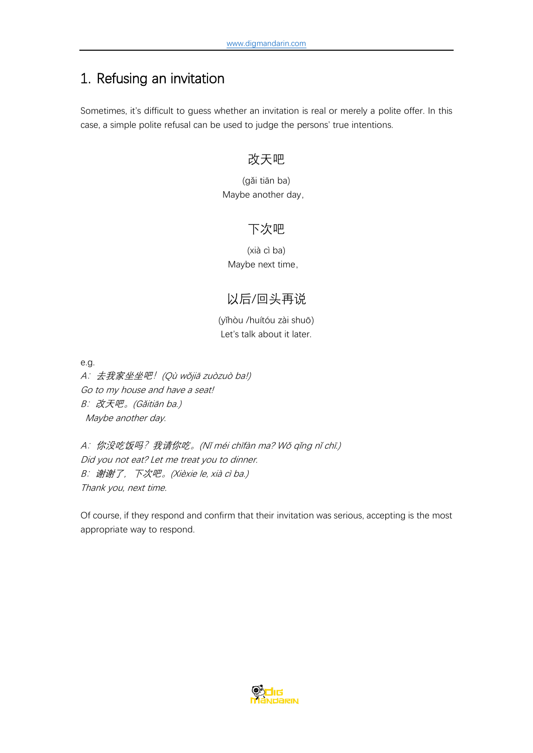# <span id="page-1-0"></span>1. Refusing an invitation

Sometimes, it's difficult to guess whether an invitation is real or merely a polite offer. In this case, a simple polite refusal can be used to judge the persons' true intentions.

#### 改天吧

(gǎi tiān ba) Maybe another day,

#### 下次吧

(xià cì ba) Maybe next time,

### 以后/回头再说

(yǐhòu /huítóu zài shuō) Let's talk about it later.

e.g.

A: 去我家坐坐吧! (Qù wǒjiā zuòzuò ba!) Go to my house and have a seat! B: 改天吧。(Gǎitiān ba.) Maybe another day.

<sup>A</sup>:你没吃饭吗?我请你吃。(Nǐ méi chīfàn ma? Wǒ qǐng nǐ chī.) Did you not eat? Let me treat you to dinner. <sup>B</sup>:谢谢了,下次吧。(Xièxie le, xià cì ba.) Thank you, next time.

Of course, if they respond and confirm that their invitation was serious, accepting is the most appropriate way to respond.

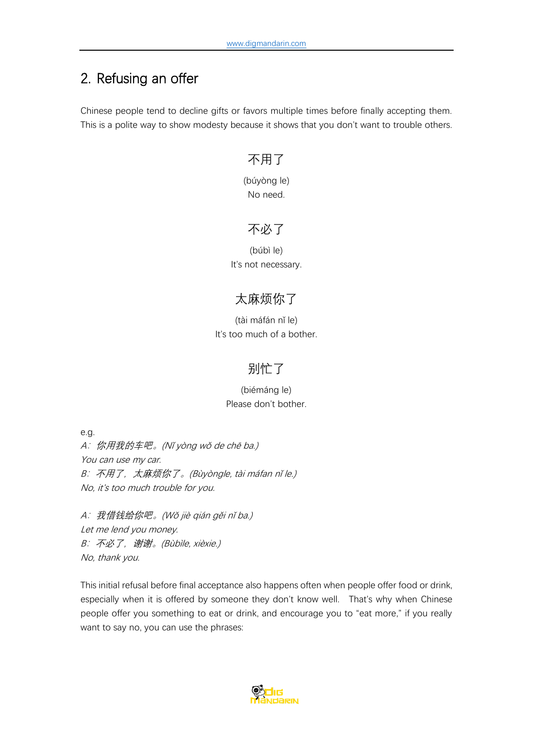# <span id="page-2-0"></span>2. Refusing an offer

Chinese people tend to decline gifts or favors multiple times before finally accepting them. This is a polite way to show modesty because it shows that you don't want to trouble others.

#### 不用了

(búyòng le) No need.

#### 不必了

(búbì le) It's not necessary.

### 太麻烦你了

(tài máfán nǐ le) It's too much of a bother.

### 别忙了

#### (biémáng le) Please don't bother.

e.g. <sup>A</sup>:你用我的车吧。(Nǐ yòng wǒ de chē ba.) You can use my car. B: 不用了, 太麻烦你了。(Bùyòngle, tài máfan nǐ le.) No, it's too much trouble for you.

<sup>A</sup>:我借钱给你吧。(Wǒ jiè qián gěi nǐ ba.) Let me lend you money. <sup>B</sup>:不必了,谢谢。(Bùbìle, xièxie.) No, thank you.

This initial refusal before final acceptance also happens often when people offer food or drink, especially when it is offered by someone they don't know well. That's why when Chinese people offer you something to eat or drink, and encourage you to "eat more," if you really want to say no, you can use the phrases:

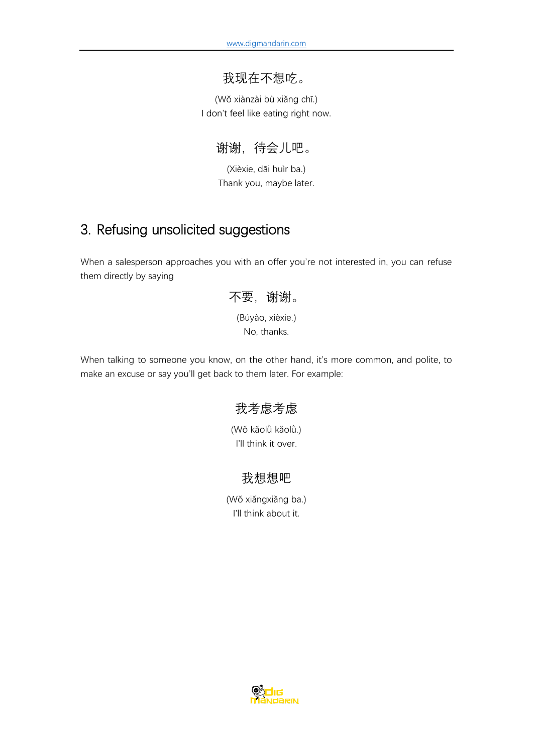#### 我现在不想吃。

(Wǒ xiànzài bù xiǎng chī.) I don't feel like eating right now.

谢谢,待会儿吧。

(Xièxie, dāi huìr ba.) Thank you, maybe later.

### <span id="page-3-0"></span>3. Refusing unsolicited suggestions

When a salesperson approaches you with an offer you're not interested in, you can refuse them directly by saying



When talking to someone you know, on the other hand, it's more common, and polite, to make an excuse or say you'll get back to them later. For example:

### 我考虑考虑

(Wǒ kǎolǜ kǎolǜ.) I'll think it over.

#### 我想想吧

(Wǒ xiǎngxiǎng ba.) I'll think about it.

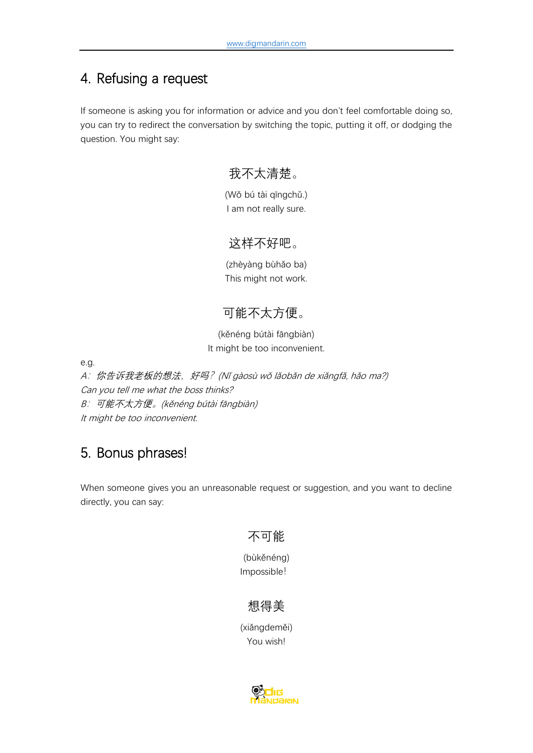# <span id="page-4-0"></span>4. Refusing a request

If someone is asking you for information or advice and you don't feel comfortable doing so, you can try to redirect the conversation by switching the topic, putting it off, or dodging the question. You might say:

# 我不太清楚。

(Wǒ bú tài qīngchǔ.) I am not really sure.

### 这样不好吧。

(zhèyàng bùhǎo ba) This might not work.

# 可能不太方便。

(kěnéng bútài fāngbiàn) It might be too inconvenient.

e.g.

A: 你告诉我老板的想法, 好吗? (Nǐ gàosù wǒ lǎobǎn de xiǎngfǎ, hǎo ma?) Can you tell me what the boss thinks? <sup>B</sup>:可能不太方便。(kěnéng bútài fāngbiàn) It might be too inconvenient.

# 5. Bonus phrases!

When someone gives you an unreasonable request or suggestion, and you want to decline directly, you can say:

### 不可能

(bùkěnéng) Impossible!

# 想得美

(xiǎngdeměi) You wish!